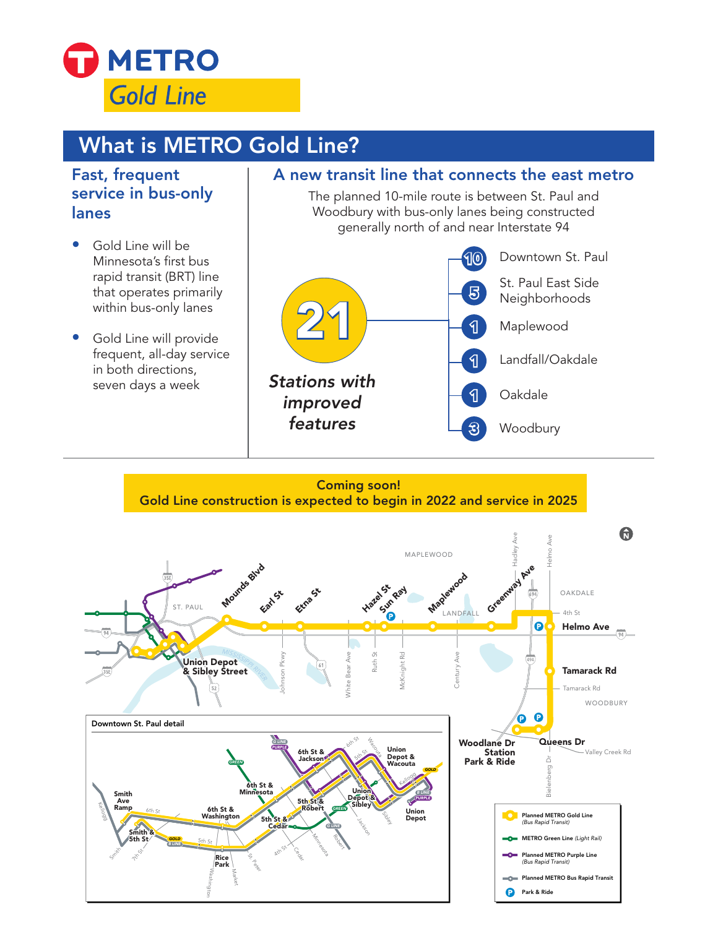

# What is METRO Gold Line?

# Fast, frequent service in bus-only lanes

- Gold Line will be Minnesota's first bus rapid transit (BRT) line that operates primarily within bus-only lanes
- Gold Line will provide frequent, all-day servic e in both directions, seven days a week

The planned 10-mile route is between St. Paul and Woodbury with bus-only lanes being constructed generally north of and near Interstate 94



### Coming soon! Gold Line construction is expected to begin in 2022 and service in 2025